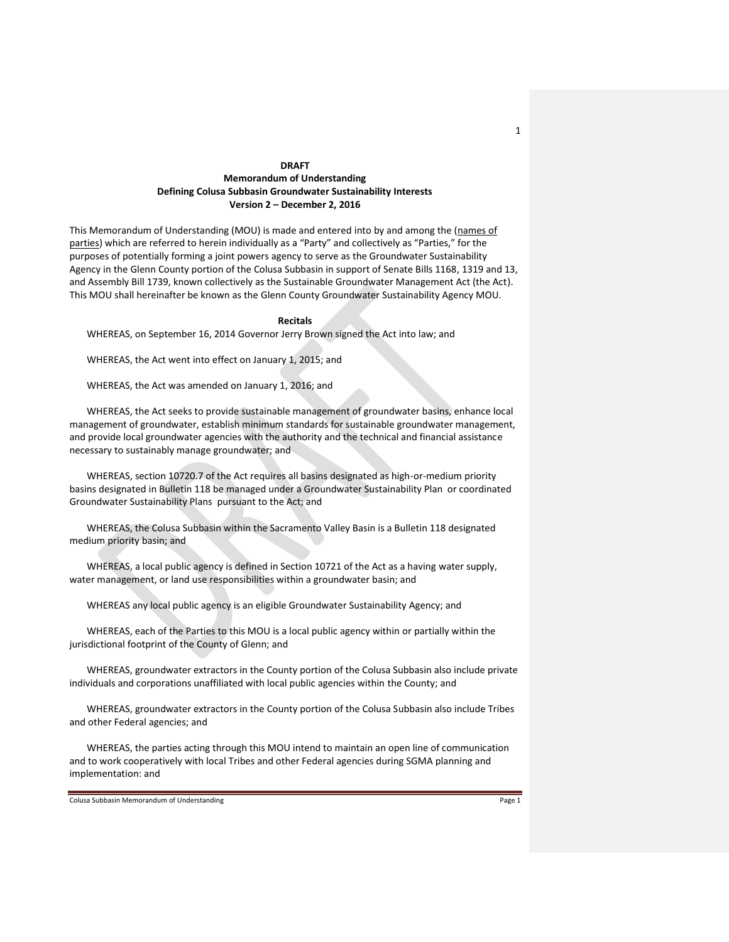# **DRAFT Memorandum of Understanding Defining Colusa Subbasin Groundwater Sustainability Interests Version 2 – December 2, 2016**

This Memorandum of Understanding (MOU) is made and entered into by and among the (names of parties) which are referred to herein individually as a "Party" and collectively as "Parties," for the purposes of potentially forming a joint powers agency to serve as the Groundwater Sustainability Agency in the Glenn County portion of the Colusa Subbasin in support of Senate Bills 1168, 1319 and 13, and Assembly Bill 1739, known collectively as the Sustainable Groundwater Management Act (the Act). This MOU shall hereinafter be known as the Glenn County Groundwater Sustainability Agency MOU.

#### **Recitals**

WHEREAS, on September 16, 2014 Governor Jerry Brown signed the Act into law; and

WHEREAS, the Act went into effect on January 1, 2015; and

WHEREAS, the Act was amended on January 1, 2016; and

WHEREAS, the Act seeks to provide sustainable management of groundwater basins, enhance local management of groundwater, establish minimum standards for sustainable groundwater management, and provide local groundwater agencies with the authority and the technical and financial assistance necessary to sustainably manage groundwater; and

WHEREAS, section 10720.7 of the Act requires all basins designated as high-or-medium priority basins designated in Bulletin 118 be managed under a Groundwater Sustainability Plan or coordinated Groundwater Sustainability Plans pursuant to the Act; and

WHEREAS, the Colusa Subbasin within the Sacramento Valley Basin is a Bulletin 118 designated medium priority basin; and

WHEREAS, a local public agency is defined in Section 10721 of the Act as a having water supply, water management, or land use responsibilities within a groundwater basin; and

WHEREAS any local public agency is an eligible Groundwater Sustainability Agency; and

WHEREAS, each of the Parties to this MOU is a local public agency within or partially within the jurisdictional footprint of the County of Glenn; and

WHEREAS, groundwater extractors in the County portion of the Colusa Subbasin also include private individuals and corporations unaffiliated with local public agencies within the County; and

WHEREAS, groundwater extractors in the County portion of the Colusa Subbasin also include Tribes and other Federal agencies; and

WHEREAS, the parties acting through this MOU intend to maintain an open line of communication and to work cooperatively with local Tribes and other Federal agencies during SGMA planning and implementation: and

Colusa Subbasin Memorandum of Understanding **Page 1** and 2008 and 2008 and 2008 and 2008 and 2008 and 2008 and 2008 and 2008 and 2008 and 2008 and 2008 and 2008 and 2008 and 2008 and 2008 and 2008 and 2008 and 2008 and 200

1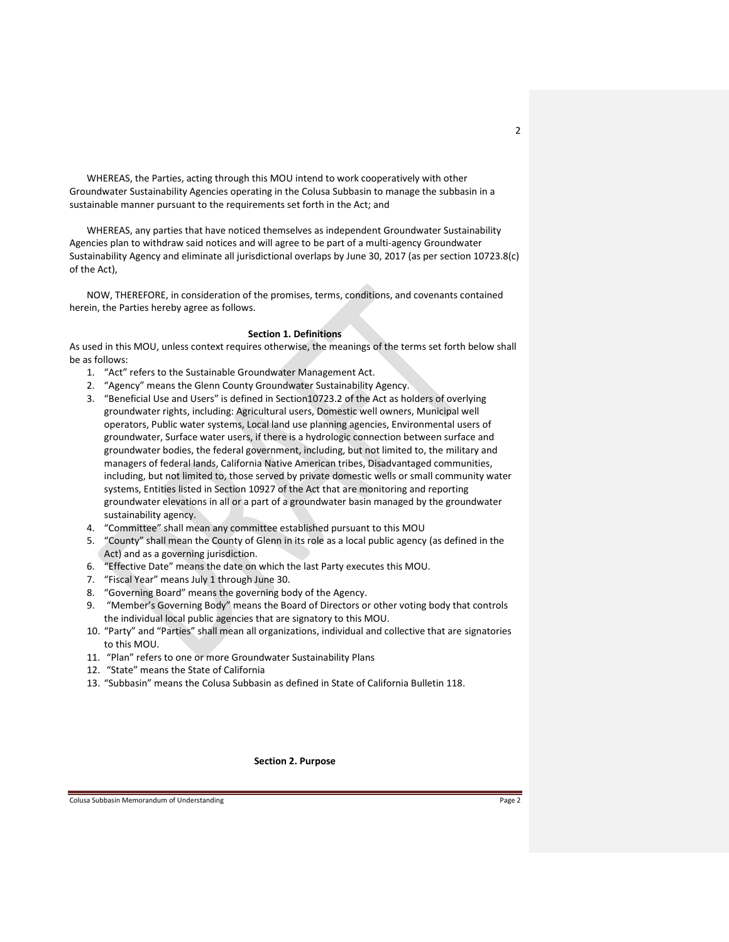WHEREAS, the Parties, acting through this MOU intend to work cooperatively with other Groundwater Sustainability Agencies operating in the Colusa Subbasin to manage the subbasin in a sustainable manner pursuant to the requirements set forth in the Act; and

WHEREAS, any parties that have noticed themselves as independent Groundwater Sustainability Agencies plan to withdraw said notices and will agree to be part of a multi-agency Groundwater Sustainability Agency and eliminate all jurisdictional overlaps by June 30, 2017 (as per section 10723.8(c) of the Act),

NOW, THEREFORE, in consideration of the promises, terms, conditions, and covenants contained herein, the Parties hereby agree as follows.

#### **Section 1. Definitions**

As used in this MOU, unless context requires otherwise, the meanings of the terms set forth below shall be as follows:

- 1. "Act" refers to the Sustainable Groundwater Management Act.
- 2. "Agency" means the Glenn County Groundwater Sustainability Agency.
- 3. "Beneficial Use and Users" is defined in Section10723.2 of the Act as holders of overlying groundwater rights, including: Agricultural users, Domestic well owners, Municipal well operators, Public water systems, Local land use planning agencies, Environmental users of groundwater, Surface water users, if there is a hydrologic connection between surface and groundwater bodies, the federal government, including, but not limited to, the military and managers of federal lands, California Native American tribes, Disadvantaged communities, including, but not limited to, those served by private domestic wells or small community water systems, Entities listed in Section 10927 of the Act that are monitoring and reporting groundwater elevations in all or a part of a groundwater basin managed by the groundwater sustainability agency.
- 4. "Committee" shall mean any committee established pursuant to this MOU
- 5. "County" shall mean the County of Glenn in its role as a local public agency (as defined in the Act) and as a governing jurisdiction.
- 6. "Effective Date" means the date on which the last Party executes this MOU.
- 7. "Fiscal Year" means July 1 through June 30.
- 8. "Governing Board" means the governing body of the Agency.
- 9. "Member's Governing Body" means the Board of Directors or other voting body that controls the individual local public agencies that are signatory to this MOU.
- 10. "Party" and "Parties" shall mean all organizations, individual and collective that are signatories to this MOU.
- 11. "Plan" refers to one or more Groundwater Sustainability Plans
- 12. "State" means the State of California
- 13. "Subbasin" means the Colusa Subbasin as defined in State of California Bulletin 118.

**Section 2. Purpose**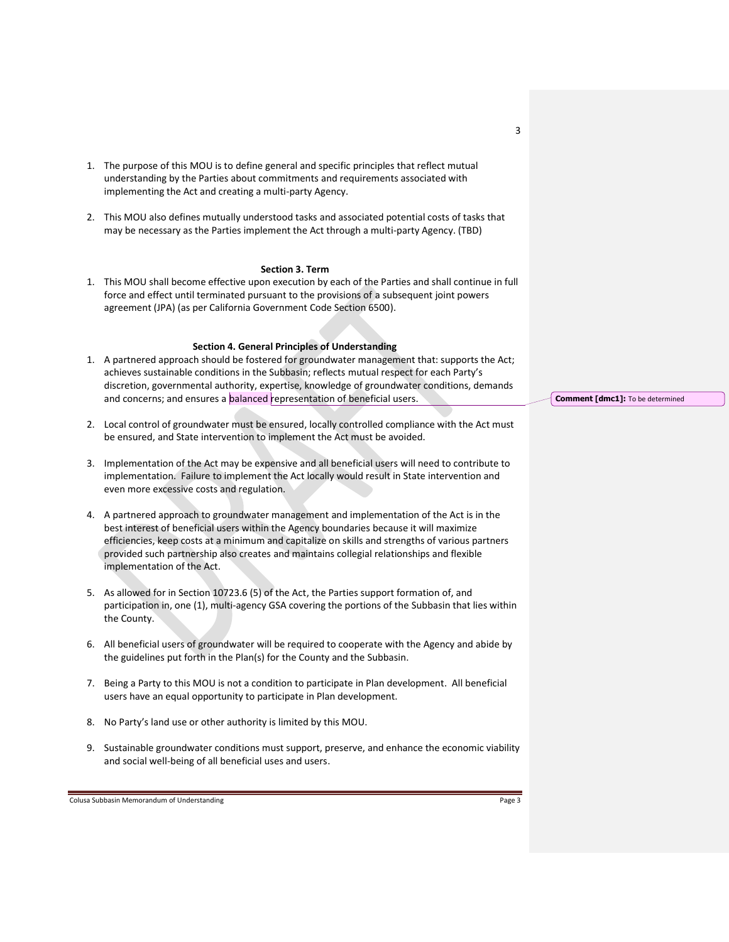- 1. The purpose of this MOU is to define general and specific principles that reflect mutual understanding by the Parties about commitments and requirements associated with implementing the Act and creating a multi-party Agency.
- 2. This MOU also defines mutually understood tasks and associated potential costs of tasks that may be necessary as the Parties implement the Act through a multi-party Agency. (TBD)

#### **Section 3. Term**

1. This MOU shall become effective upon execution by each of the Parties and shall continue in full force and effect until terminated pursuant to the provisions of a subsequent joint powers agreement (JPA) (as per California Government Code Section 6500).

# **Section 4. General Principles of Understanding**

- 1. A partnered approach should be fostered for groundwater management that: supports the Act; achieves sustainable conditions in the Subbasin; reflects mutual respect for each Party's discretion, governmental authority, expertise, knowledge of groundwater conditions, demands and concerns; and ensures a balanced representation of beneficial users.
- 2. Local control of groundwater must be ensured, locally controlled compliance with the Act must be ensured, and State intervention to implement the Act must be avoided.
- 3. Implementation of the Act may be expensive and all beneficial users will need to contribute to implementation. Failure to implement the Act locally would result in State intervention and even more excessive costs and regulation.
- 4. A partnered approach to groundwater management and implementation of the Act is in the best interest of beneficial users within the Agency boundaries because it will maximize efficiencies, keep costs at a minimum and capitalize on skills and strengths of various partners provided such partnership also creates and maintains collegial relationships and flexible implementation of the Act.
- 5. As allowed for in Section 10723.6 (5) of the Act, the Parties support formation of, and participation in, one (1), multi-agency GSA covering the portions of the Subbasin that lies within the County.
- 6. All beneficial users of groundwater will be required to cooperate with the Agency and abide by the guidelines put forth in the Plan(s) for the County and the Subbasin.
- 7. Being a Party to this MOU is not a condition to participate in Plan development. All beneficial users have an equal opportunity to participate in Plan development.
- 8. No Party's land use or other authority is limited by this MOU.
- 9. Sustainable groundwater conditions must support, preserve, and enhance the economic viability and social well-being of all beneficial uses and users.

Colusa Subbasin Memorandum of Understanding **Page 3** and 2008 and 2008 and 2008 and 2008 and 2008 and 2008 and 2008 and 2008 and 2008 and 2008 and 2008 and 2008 and 2008 and 2008 and 2008 and 2008 and 2008 and 2008 and 200

**Comment [dmc1]:** To be determined

3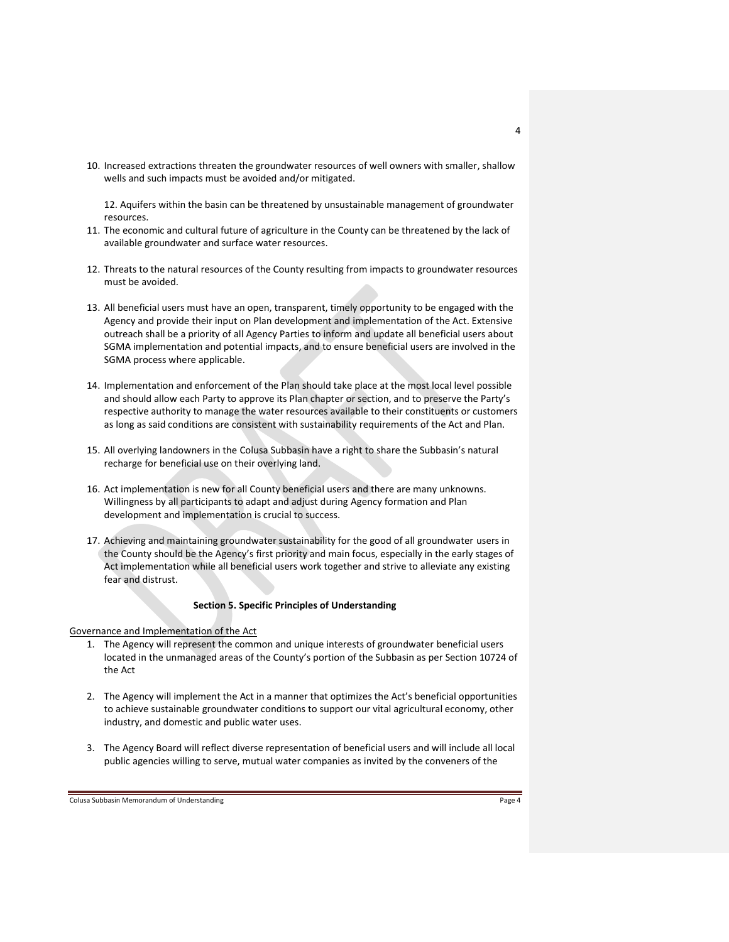10. Increased extractions threaten the groundwater resources of well owners with smaller, shallow wells and such impacts must be avoided and/or mitigated.

12. Aquifers within the basin can be threatened by unsustainable management of groundwater resources.

- 11. The economic and cultural future of agriculture in the County can be threatened by the lack of available groundwater and surface water resources.
- 12. Threats to the natural resources of the County resulting from impacts to groundwater resources must be avoided.
- 13. All beneficial users must have an open, transparent, timely opportunity to be engaged with the Agency and provide their input on Plan development and implementation of the Act. Extensive outreach shall be a priority of all Agency Parties to inform and update all beneficial users about SGMA implementation and potential impacts, and to ensure beneficial users are involved in the SGMA process where applicable.
- 14. Implementation and enforcement of the Plan should take place at the most local level possible and should allow each Party to approve its Plan chapter or section, and to preserve the Party's respective authority to manage the water resources available to their constituents or customers as long as said conditions are consistent with sustainability requirements of the Act and Plan.
- 15. All overlying landowners in the Colusa Subbasin have a right to share the Subbasin's natural recharge for beneficial use on their overlying land.
- 16. Act implementation is new for all County beneficial users and there are many unknowns. Willingness by all participants to adapt and adjust during Agency formation and Plan development and implementation is crucial to success.
- 17. Achieving and maintaining groundwater sustainability for the good of all groundwater users in the County should be the Agency's first priority and main focus, especially in the early stages of Act implementation while all beneficial users work together and strive to alleviate any existing fear and distrust.

# **Section 5. Specific Principles of Understanding**

Governance and Implementation of the Act

- 1. The Agency will represent the common and unique interests of groundwater beneficial users located in the unmanaged areas of the County's portion of the Subbasin as per Section 10724 of the Act
- 2. The Agency will implement the Act in a manner that optimizes the Act's beneficial opportunities to achieve sustainable groundwater conditions to support our vital agricultural economy, other industry, and domestic and public water uses.
- 3. The Agency Board will reflect diverse representation of beneficial users and will include all local public agencies willing to serve, mutual water companies as invited by the conveners of the

Colusa Subbasin Memorandum of Understanding **Page 4** and 2008 and 2008 and 2008 and 2008 and 2008 and 2008 and 2008 and 2008 and 2008 and 2008 and 2008 and 2008 and 2008 and 2008 and 2008 and 2008 and 2008 and 2008 and 200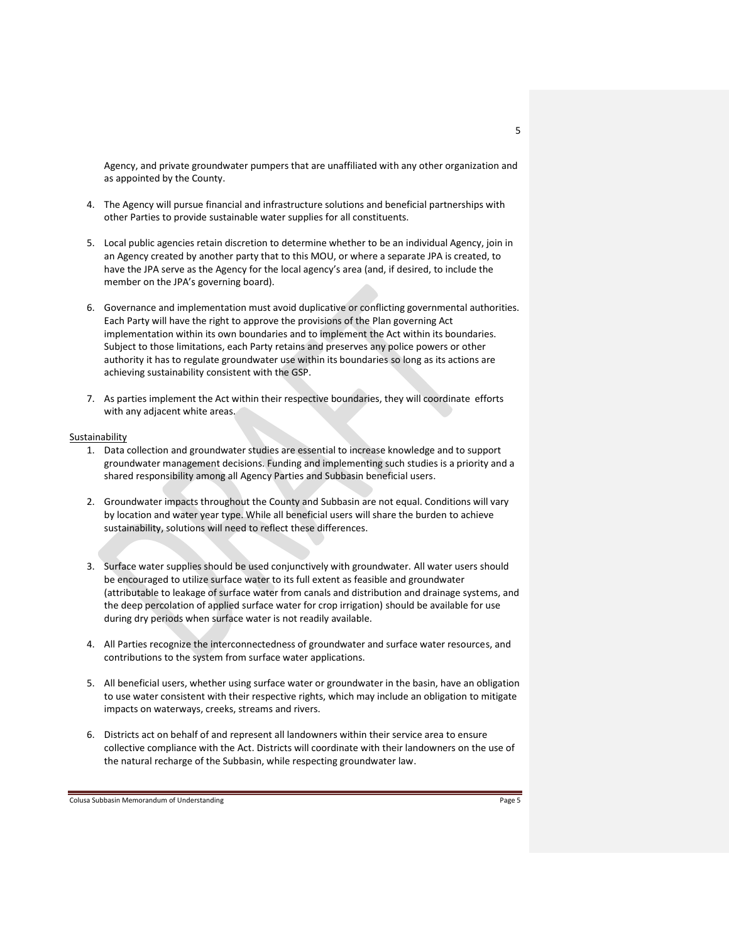Agency, and private groundwater pumpers that are unaffiliated with any other organization and as appointed by the County.

- 4. The Agency will pursue financial and infrastructure solutions and beneficial partnerships with other Parties to provide sustainable water supplies for all constituents.
- 5. Local public agencies retain discretion to determine whether to be an individual Agency, join in an Agency created by another party that to this MOU, or where a separate JPA is created, to have the JPA serve as the Agency for the local agency's area (and, if desired, to include the member on the JPA's governing board).
- 6. Governance and implementation must avoid duplicative or conflicting governmental authorities. Each Party will have the right to approve the provisions of the Plan governing Act implementation within its own boundaries and to implement the Act within its boundaries. Subject to those limitations, each Party retains and preserves any police powers or other authority it has to regulate groundwater use within its boundaries so long as its actions are achieving sustainability consistent with the GSP.
- 7. As parties implement the Act within their respective boundaries, they will coordinate efforts with any adjacent white areas.

#### Sustainability

- 1. Data collection and groundwater studies are essential to increase knowledge and to support groundwater management decisions. Funding and implementing such studies is a priority and a shared responsibility among all Agency Parties and Subbasin beneficial users.
- 2. Groundwater impacts throughout the County and Subbasin are not equal. Conditions will vary by location and water year type. While all beneficial users will share the burden to achieve sustainability, solutions will need to reflect these differences.
- 3. Surface water supplies should be used conjunctively with groundwater. All water users should be encouraged to utilize surface water to its full extent as feasible and groundwater (attributable to leakage of surface water from canals and distribution and drainage systems, and the deep percolation of applied surface water for crop irrigation) should be available for use during dry periods when surface water is not readily available.
- 4. All Parties recognize the interconnectedness of groundwater and surface water resources, and contributions to the system from surface water applications.
- 5. All beneficial users, whether using surface water or groundwater in the basin, have an obligation to use water consistent with their respective rights, which may include an obligation to mitigate impacts on waterways, creeks, streams and rivers.
- 6. Districts act on behalf of and represent all landowners within their service area to ensure collective compliance with the Act. Districts will coordinate with their landowners on the use of the natural recharge of the Subbasin, while respecting groundwater law.

Colusa Subbasin Memorandum of Understanding **Page 5** and 2008 and 2008 and 2008 and 2008 and 2008 and 2008 and 2008 and 2008 and 2008 and 2008 and 2008 and 2008 and 2008 and 2008 and 2008 and 2008 and 2008 and 2008 and 200